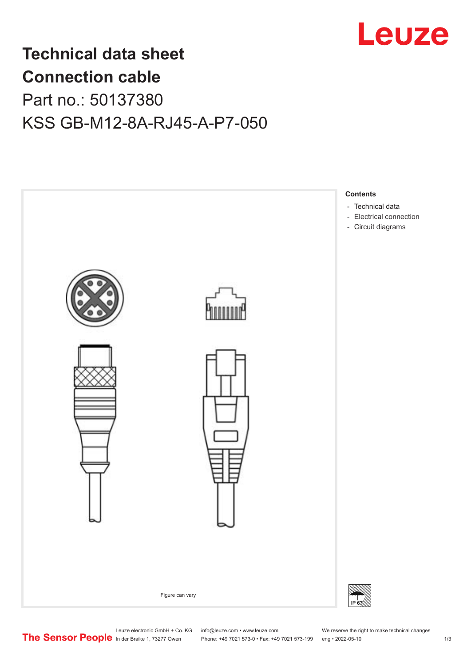

## **Technical data sheet Connection cable**

### Part no.: 50137380 KSS GB-M12-8A-RJ45-A-P7-050

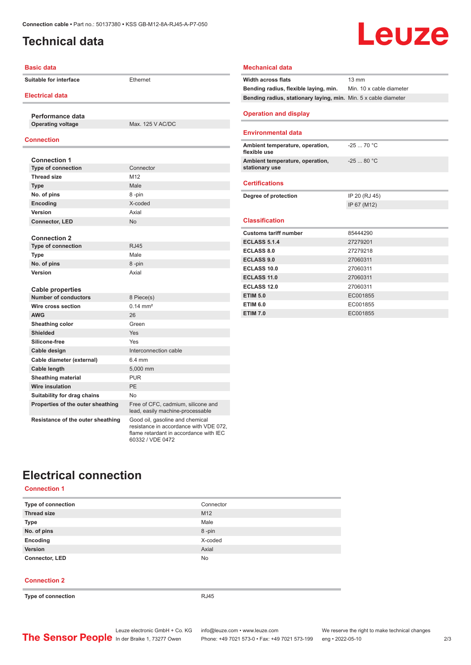#### <span id="page-1-0"></span>**Technical data**

# **Leuze**

| <b>Basic data</b>                 |                                                                                                                                         | <b>Mechanical data</b>                                          |                          |
|-----------------------------------|-----------------------------------------------------------------------------------------------------------------------------------------|-----------------------------------------------------------------|--------------------------|
| <b>Suitable for interface</b>     | Ethernet                                                                                                                                | <b>Width across flats</b>                                       | $13 \text{ mm}$          |
|                                   |                                                                                                                                         | Bending radius, flexible laying, min.                           | Min. 10 x cable diameter |
| <b>Electrical data</b>            |                                                                                                                                         | Bending radius, stationary laying, min. Min. 5 x cable diameter |                          |
|                                   |                                                                                                                                         |                                                                 |                          |
| Performance data                  |                                                                                                                                         | <b>Operation and display</b>                                    |                          |
| <b>Operating voltage</b>          | Max. 125 V AC/DC                                                                                                                        |                                                                 |                          |
|                                   |                                                                                                                                         | <b>Environmental data</b>                                       |                          |
| <b>Connection</b>                 |                                                                                                                                         | Ambient temperature, operation,                                 | $-2570 °C$               |
|                                   |                                                                                                                                         | flexible use                                                    |                          |
| <b>Connection 1</b>               |                                                                                                                                         | Ambient temperature, operation,                                 | $-25$ 80 °C              |
| <b>Type of connection</b>         | Connector                                                                                                                               | stationary use                                                  |                          |
| <b>Thread size</b>                | M <sub>12</sub>                                                                                                                         | <b>Certifications</b>                                           |                          |
| <b>Type</b>                       | Male                                                                                                                                    |                                                                 |                          |
| No. of pins                       | 8-pin                                                                                                                                   | Degree of protection                                            | IP 20 (RJ 45)            |
| Encoding                          | X-coded                                                                                                                                 |                                                                 | IP 67 (M12)              |
| Version                           | Axial                                                                                                                                   |                                                                 |                          |
| <b>Connector, LED</b>             | <b>No</b>                                                                                                                               | <b>Classification</b>                                           |                          |
| <b>Connection 2</b>               |                                                                                                                                         | <b>Customs tariff number</b>                                    | 85444290                 |
| <b>Type of connection</b>         | <b>RJ45</b>                                                                                                                             | <b>ECLASS 5.1.4</b>                                             | 27279201                 |
| <b>Type</b>                       | Male                                                                                                                                    | <b>ECLASS 8.0</b>                                               | 27279218                 |
| No. of pins                       | 8-pin                                                                                                                                   | <b>ECLASS 9.0</b>                                               | 27060311                 |
| <b>Version</b>                    | Axial                                                                                                                                   | <b>ECLASS 10.0</b>                                              | 27060311                 |
|                                   |                                                                                                                                         | <b>ECLASS 11.0</b>                                              | 27060311                 |
| <b>Cable properties</b>           |                                                                                                                                         | <b>ECLASS 12.0</b>                                              | 27060311                 |
| <b>Number of conductors</b>       | 8 Piece(s)                                                                                                                              | <b>ETIM 5.0</b>                                                 | EC001855                 |
| Wire cross section                | $0.14 \, \text{mm}^2$                                                                                                                   | <b>ETIM 6.0</b>                                                 | EC001855                 |
| <b>AWG</b>                        | 26                                                                                                                                      | <b>ETIM 7.0</b>                                                 | EC001855                 |
| Sheathing color                   | Green                                                                                                                                   |                                                                 |                          |
| <b>Shielded</b>                   | Yes                                                                                                                                     |                                                                 |                          |
| Silicone-free                     | Yes                                                                                                                                     |                                                                 |                          |
| Cable design                      | Interconnection cable                                                                                                                   |                                                                 |                          |
| Cable diameter (external)         | 6.4 mm                                                                                                                                  |                                                                 |                          |
| <b>Cable length</b>               | 5,000 mm                                                                                                                                |                                                                 |                          |
| <b>Sheathing material</b>         | <b>PUR</b>                                                                                                                              |                                                                 |                          |
| <b>Wire insulation</b>            | PE                                                                                                                                      |                                                                 |                          |
| Suitability for drag chains       | <b>No</b>                                                                                                                               |                                                                 |                          |
| Properties of the outer sheathing | Free of CFC, cadmium, silicone and<br>lead, easily machine-processable                                                                  |                                                                 |                          |
| Resistance of the outer sheathing | Good oil, gasoline and chemical<br>resistance in accordance with VDE 072,<br>flame retardant in accordance with IEC<br>60332 / VDE 0472 |                                                                 |                          |

### **Electrical connection**

**Connection 1**

| Type of connection    | Connector       |
|-----------------------|-----------------|
| <b>Thread size</b>    | M <sub>12</sub> |
| <b>Type</b>           | Male            |
| No. of pins           | 8-pin           |
| Encoding              | X-coded         |
| Version               | Axial           |
| <b>Connector, LED</b> | <b>No</b>       |

#### **Connection 2**

**Type of connection** RJ45